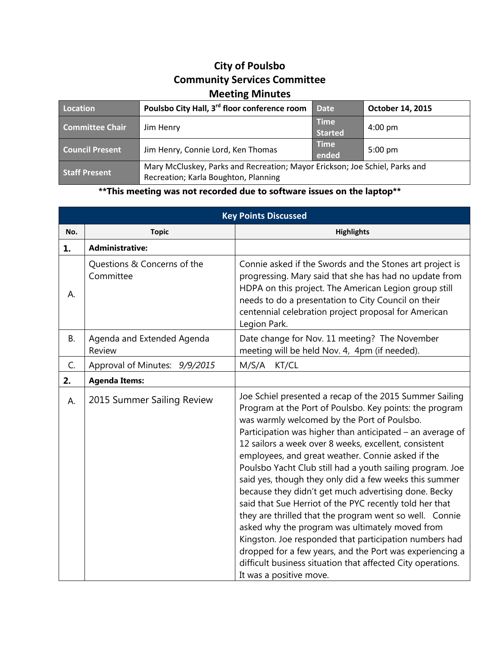## **City of Poulsbo Community Services Committee Meeting Minutes**

| Location               | Poulsbo City Hall, 3 <sup>rd</sup> floor conference room                                                            | <b>Date</b>                   | October 14, 2015  |
|------------------------|---------------------------------------------------------------------------------------------------------------------|-------------------------------|-------------------|
| <b>Committee Chair</b> | Jim Henry                                                                                                           | <b>Time</b><br><b>Started</b> | $4:00 \text{ pm}$ |
| <b>Council Present</b> | Jim Henry, Connie Lord, Ken Thomas                                                                                  | <b>Time</b><br>ended          | $5:00 \text{ pm}$ |
| <b>Staff Present</b>   | Mary McCluskey, Parks and Recreation; Mayor Erickson; Joe Schiel, Parks and<br>Recreation; Karla Boughton, Planning |                               |                   |

**\*\*This meeting was not recorded due to software issues on the laptop\*\***

| <b>Key Points Discussed</b> |                                          |                                                                                                                                                                                                                                                                                                                                                                                                                                                                                                                                                                                                                                                                                                                                                                                                                                                                                                                      |  |  |
|-----------------------------|------------------------------------------|----------------------------------------------------------------------------------------------------------------------------------------------------------------------------------------------------------------------------------------------------------------------------------------------------------------------------------------------------------------------------------------------------------------------------------------------------------------------------------------------------------------------------------------------------------------------------------------------------------------------------------------------------------------------------------------------------------------------------------------------------------------------------------------------------------------------------------------------------------------------------------------------------------------------|--|--|
| No.                         | <b>Topic</b>                             | <b>Highlights</b>                                                                                                                                                                                                                                                                                                                                                                                                                                                                                                                                                                                                                                                                                                                                                                                                                                                                                                    |  |  |
| 1.                          | <b>Administrative:</b>                   |                                                                                                                                                                                                                                                                                                                                                                                                                                                                                                                                                                                                                                                                                                                                                                                                                                                                                                                      |  |  |
| А.                          | Questions & Concerns of the<br>Committee | Connie asked if the Swords and the Stones art project is<br>progressing. Mary said that she has had no update from<br>HDPA on this project. The American Legion group still<br>needs to do a presentation to City Council on their<br>centennial celebration project proposal for American<br>Legion Park.                                                                                                                                                                                                                                                                                                                                                                                                                                                                                                                                                                                                           |  |  |
| <b>B.</b>                   | Agenda and Extended Agenda<br>Review     | Date change for Nov. 11 meeting? The November<br>meeting will be held Nov. 4, 4pm (if needed).                                                                                                                                                                                                                                                                                                                                                                                                                                                                                                                                                                                                                                                                                                                                                                                                                       |  |  |
| C.                          | Approval of Minutes: 9/9/2015            | M/S/A<br>KT/CL                                                                                                                                                                                                                                                                                                                                                                                                                                                                                                                                                                                                                                                                                                                                                                                                                                                                                                       |  |  |
| 2.                          | <b>Agenda Items:</b>                     |                                                                                                                                                                                                                                                                                                                                                                                                                                                                                                                                                                                                                                                                                                                                                                                                                                                                                                                      |  |  |
| А.                          | 2015 Summer Sailing Review               | Joe Schiel presented a recap of the 2015 Summer Sailing<br>Program at the Port of Poulsbo. Key points: the program<br>was warmly welcomed by the Port of Poulsbo.<br>Participation was higher than anticipated – an average of<br>12 sailors a week over 8 weeks, excellent, consistent<br>employees, and great weather. Connie asked if the<br>Poulsbo Yacht Club still had a youth sailing program. Joe<br>said yes, though they only did a few weeks this summer<br>because they didn't get much advertising done. Becky<br>said that Sue Herriot of the PYC recently told her that<br>they are thrilled that the program went so well. Connie<br>asked why the program was ultimately moved from<br>Kingston. Joe responded that participation numbers had<br>dropped for a few years, and the Port was experiencing a<br>difficult business situation that affected City operations.<br>It was a positive move. |  |  |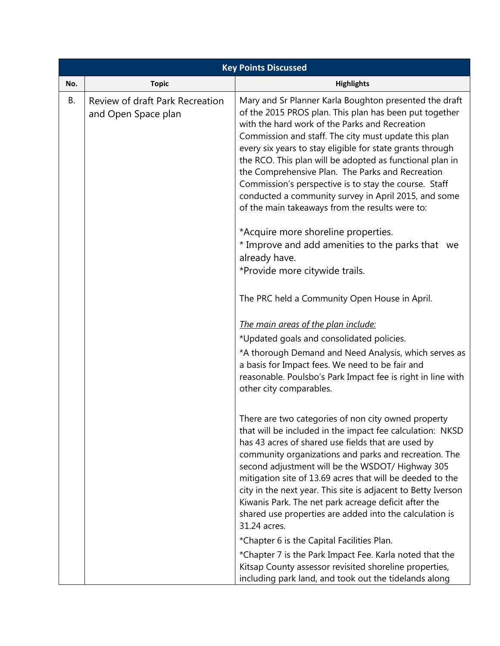| <b>Key Points Discussed</b> |                                                        |                                                                                                                                                                                                                                                                                                                                                                                                                                                                                                                                                                             |  |  |
|-----------------------------|--------------------------------------------------------|-----------------------------------------------------------------------------------------------------------------------------------------------------------------------------------------------------------------------------------------------------------------------------------------------------------------------------------------------------------------------------------------------------------------------------------------------------------------------------------------------------------------------------------------------------------------------------|--|--|
| No.                         | <b>Topic</b>                                           | <b>Highlights</b>                                                                                                                                                                                                                                                                                                                                                                                                                                                                                                                                                           |  |  |
| В.                          | Review of draft Park Recreation<br>and Open Space plan | Mary and Sr Planner Karla Boughton presented the draft<br>of the 2015 PROS plan. This plan has been put together<br>with the hard work of the Parks and Recreation<br>Commission and staff. The city must update this plan<br>every six years to stay eligible for state grants through<br>the RCO. This plan will be adopted as functional plan in<br>the Comprehensive Plan. The Parks and Recreation<br>Commission's perspective is to stay the course. Staff<br>conducted a community survey in April 2015, and some<br>of the main takeaways from the results were to: |  |  |
|                             |                                                        | *Acquire more shoreline properties.<br>* Improve and add amenities to the parks that we<br>already have.<br>*Provide more citywide trails.                                                                                                                                                                                                                                                                                                                                                                                                                                  |  |  |
|                             |                                                        | The PRC held a Community Open House in April.                                                                                                                                                                                                                                                                                                                                                                                                                                                                                                                               |  |  |
|                             |                                                        | The main areas of the plan include:                                                                                                                                                                                                                                                                                                                                                                                                                                                                                                                                         |  |  |
|                             |                                                        | *Updated goals and consolidated policies.                                                                                                                                                                                                                                                                                                                                                                                                                                                                                                                                   |  |  |
|                             |                                                        | *A thorough Demand and Need Analysis, which serves as<br>a basis for Impact fees. We need to be fair and<br>reasonable. Poulsbo's Park Impact fee is right in line with<br>other city comparables.                                                                                                                                                                                                                                                                                                                                                                          |  |  |
|                             |                                                        | There are two categories of non city owned property<br>that will be included in the impact fee calculation: NKSD<br>has 43 acres of shared use fields that are used by<br>community organizations and parks and recreation. The<br>second adjustment will be the WSDOT/ Highway 305<br>mitigation site of 13.69 acres that will be deeded to the<br>city in the next year. This site is adjacent to Betty Iverson<br>Kiwanis Park. The net park acreage deficit after the<br>shared use properties are added into the calculation is<br>31.24 acres.                        |  |  |
|                             |                                                        | *Chapter 6 is the Capital Facilities Plan.                                                                                                                                                                                                                                                                                                                                                                                                                                                                                                                                  |  |  |
|                             |                                                        | *Chapter 7 is the Park Impact Fee. Karla noted that the<br>Kitsap County assessor revisited shoreline properties,<br>including park land, and took out the tidelands along                                                                                                                                                                                                                                                                                                                                                                                                  |  |  |